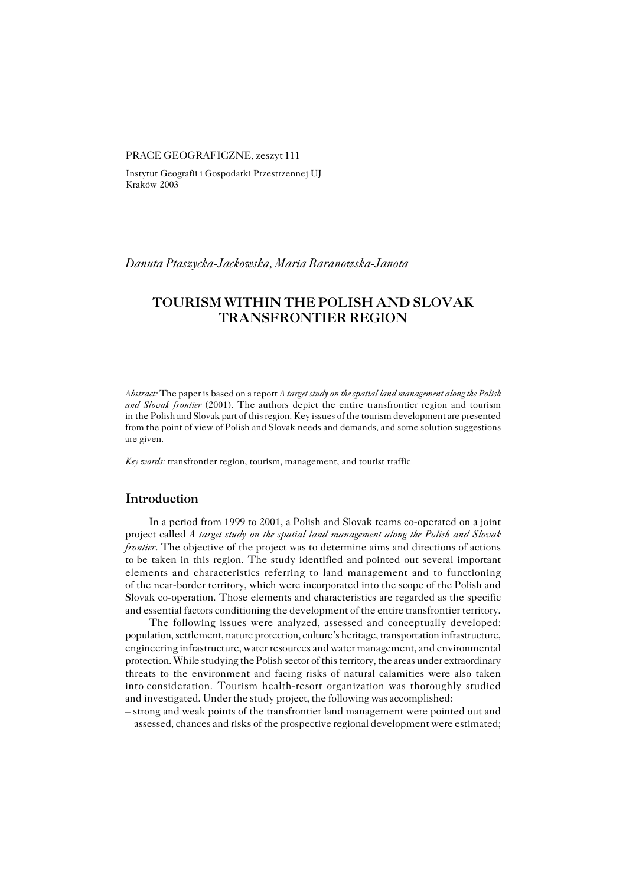## PRACE GEOGRAFICZNE, zeszyt 111

Instytut Geografii i Gospodarki Przestrzennej UJ Kraków 2003

## *Danuta Ptaszycka−Jackowska, Maria Baranowska−Janota*

# **TOURISM WITHIN THE POLISH AND SLOVAK TRANSFRONTIER REGION**

*Abstract:* The paper is based on a report *A target study on the spatial land management along the Polish and Slovak frontier* (2001). The authors depict the entire transfrontier region and tourism in the Polish and Slovak part of this region. Key issues of the tourism development are presented from the point of view of Polish and Slovak needs and demands, and some solution suggestions are given.

*Key words:* transfrontier region, tourism, management, and tourist traffic

## **Introduction**

In a period from 1999 to 2001, a Polish and Slovak teams co−operated on a joint project called *A target study on the spatial land management along the Polish and Slovak frontier*. The objective of the project was to determine aims and directions of actions to be taken in this region. The study identified and pointed out several important elements and characteristics referring to land management and to functioning of the near-border territory, which were incorporated into the scope of the Polish and Slovak co−operation. Those elements and characteristics are regarded as the specific and essential factors conditioning the development of the entire transfrontier territory.

The following issues were analyzed, assessed and conceptually developed: population, settlement, nature protection, culture's heritage, transportation infrastructure, engineering infrastructure, water resources and water management, and environmental protection. While studying the Polish sector of this territory, the areas under extraordinary threats to the environment and facing risks of natural calamities were also taken into consideration. Tourism health-resort organization was thoroughly studied and investigated. Under the study project, the following was accomplished:

– strong and weak points of the transfrontier land management were pointed out and assessed, chances and risks of the prospective regional development were estimated;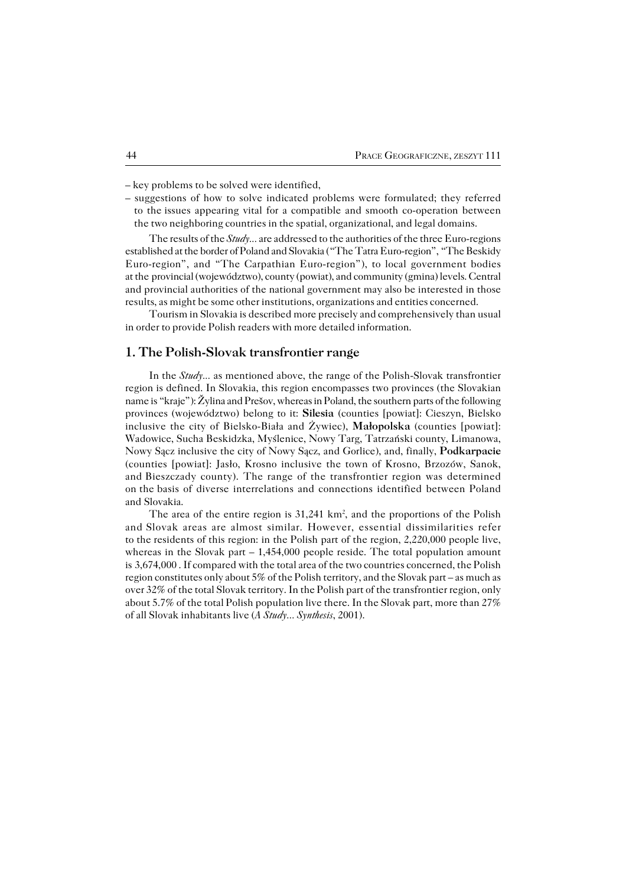– key problems to be solved were identified,

– suggestions of how to solve indicated problems were formulated; they referred to the issues appearing vital for a compatible and smooth co-operation between the two neighboring countries in the spatial, organizational, and legal domains.

The results of the *Study...* are addressed to the authorities of the three Euro−regions established at the border of Poland and Slovakia ("The Tatra Euro−region", "The Beskidy Euro−region", and "The Carpathian Euro−region"), to local government bodies at the provincial (województwo), county (powiat), and community (gmina) levels. Central and provincial authorities of the national government may also be interested in those results, as might be some other institutions, organizations and entities concerned.

Tourism in Slovakia is described more precisely and comprehensively than usual in order to provide Polish readers with more detailed information.

# **1. The Polish−Slovak transfrontier range**

In the *Study...* as mentioned above, the range of the Polish−Slovak transfrontier region is defined. In Slovakia, this region encompasses two provinces (the Slovakian name is "kraje"): Žylina and Prešov, whereas in Poland, the southern parts of the following provinces (województwo) belong to it: **Silesia** (counties [powiat]: Cieszyn, Bielsko inclusive the city of Bielsko−Biała and Żywiec), **Małopolska** (counties [powiat]: Wadowice, Sucha Beskidzka, Myślenice, Nowy Targ, Tatrzański county, Limanowa, Nowy Sącz inclusive the city of Nowy Sącz, and Gorlice), and, finally, **Podkarpacie** (counties [powiat]: Jasło, Krosno inclusive the town of Krosno, Brzozów, Sanok, and Bieszczady county). The range of the transfrontier region was determined onthebasis of diverse interrelations and connections identified between Poland and Slovakia.

The area of the entire region is  $31,241 \text{ km}^2$ , and the proportions of the Polish and Slovak areas are almost similar. However, essential dissimilarities refer to the residents of this region: in the Polish part of the region,  $2,220,000$  people live, whereas in the Slovak part  $-1,454,000$  people reside. The total population amount is3,674,000 . If compared with the total area of the two countries concerned, the Polish region constitutes only about 5% of the Polish territory, and the Slovak part – as much as over 32% of the total Slovak territory. In the Polish part of the transfrontier region, only about 5.7% of the total Polish population live there. In the Slovak part, more than 27% of all Slovak inhabitants live (*A Study... Synthesis*, 2001).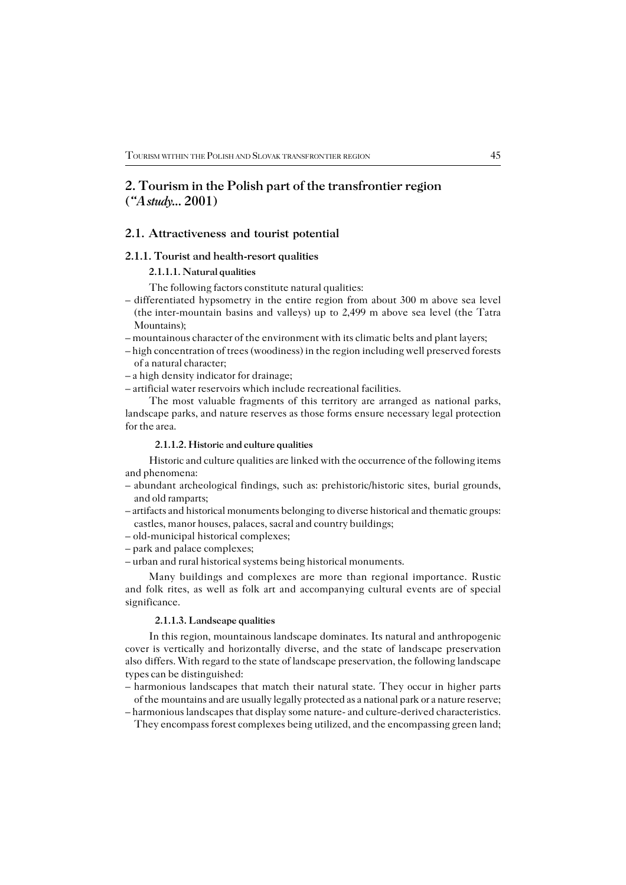# **2. Tourism in the Polish part of the transfrontier region (***"A study...* **2001)**

## **2.1. Attractiveness and tourist potential**

### **2.1.1. Tourist and health−resort qualities**

# **2.1.1.1. Natural qualities**

The following factors constitute natural qualities:

- differentiated hypsometry in the entire region from about 300 m above sea level (theinter−mountain basins and valleys) up to 2,499 m above sea level (the Tatra Mountains);
- mountainous character of the environment with its climatic belts and plant layers;
- high concentration of trees (woodiness) in the region including well preserved forests of a natural character;
- a high density indicator for drainage;

– artificial water reservoirs which include recreational facilities.

The most valuable fragments of this territory are arranged as national parks, landscape parks, and nature reserves as those forms ensure necessary legal protection for the area.

### **2.1.1.2. Historic and culture qualities**

Historic and culture qualities are linked with the occurrence of the following items and phenomena:

- abundant archeological findings, such as: prehistoric/historic sites, burial grounds, and old ramparts;
- artifacts and historical monuments belonging to diverse historical and thematic groups: castles, manor houses, palaces, sacral and country buildings;
- old−municipal historical complexes;
- park and palace complexes;
- urban and rural historical systems being historical monuments.

Many buildings and complexes are more than regional importance. Rustic and folk rites, as well as folk art and accompanying cultural events are of special significance.

### **2.1.1.3. Landscape qualities**

In this region, mountainous landscape dominates. Its natural and anthropogenic cover is vertically and horizontally diverse, and the state of landscape preservation also differs. With regard to the state of landscape preservation, the following landscape types can be distinguished:

- harmonious landscapes that match their natural state. They occur in higher parts of themountains and are usually legally protected as a national park or a nature reserve;
- harmonious landscapes that display some nature− and culture−derived characteristics.

They encompass forest complexes being utilized, and the encompassing green land;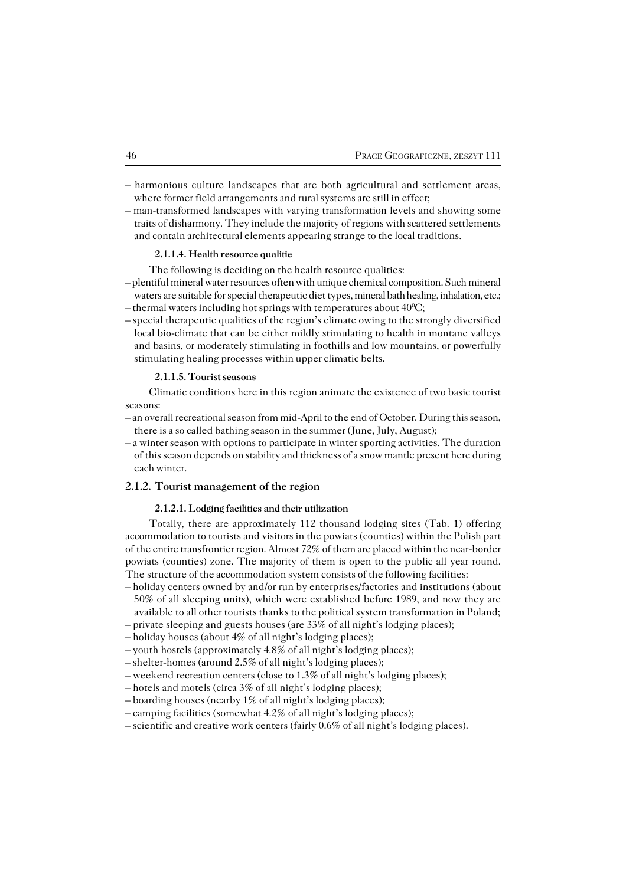- harmonious culture landscapes that are both agricultural and settlement areas, where former field arrangements and rural systems are still in effect;
- man−transformed landscapes with varying transformation levels and showing some traits of disharmony. They include the majority of regions with scattered settlements and contain architectural elements appearing strange to the local traditions.

### **2.1.1.4. Health resource qualitie**

- The following is deciding on the health resource qualities:
- plentiful mineral water resources often with unique chemical composition. Such mineral waters are suitable for special therapeutic diet types, mineral bath healing, inhalation, etc.; – thermal waters including hot springs with temperatures about  $40^{\circ}$ C;
- special therapeutic qualities of the region's climate owing to the strongly diversified local bio−climate that can be either mildly stimulating to health in montane valleys and basins, or moderately stimulating in foothills and low mountains, or powerfully stimulating healing processes within upper climatic belts.

### **2.1.1.5. Tourist seasons**

Climatic conditions here in this region animate the existence of two basic tourist seasons:

- an overall recreational season from mid−April to the end of October. During this season, there is a so called bathing season in the summer (June, July, August);
- a winter season with options to participate in winter sporting activities. The duration ofthis season depends on stability and thickness of a snow mantle present here during each winter.

### **2.1.2. Tourist management of the region**

## **2.1.2.1. Lodging facilities and their utilization**

Totally, there are approximately 112 thousand lodging sites (Tab. 1) offering accommodation to tourists and visitors in the powiats (counties) within the Polish part of the entire transfrontier region. Almost 72% of them are placed within the near-border powiats (counties) zone. The majority of them is open to the public all year round. The structure of the accommodation system consists of the following facilities:

- holiday centers owned by and/or run by enterprises/factories and institutions (about 50% of all sleeping units), which were established before 1989, and now they are available to all other tourists thanks to the political system transformation in Poland;
- private sleeping and guests houses (are 33% of all night's lodging places);
- holiday houses (about 4% of all night's lodging places);
- youth hostels (approximately 4.8% of all night's lodging places);
- shelter−homes (around 2.5% of all night's lodging places);
- weekend recreation centers (close to 1.3% of all night's lodging places);
- hotels and motels (circa 3% of all night's lodging places);
- boarding houses (nearby 1% of all night's lodging places);
- camping facilities (somewhat 4.2% of all night's lodging places);
- scientific and creative work centers (fairly 0.6% of all night's lodging places).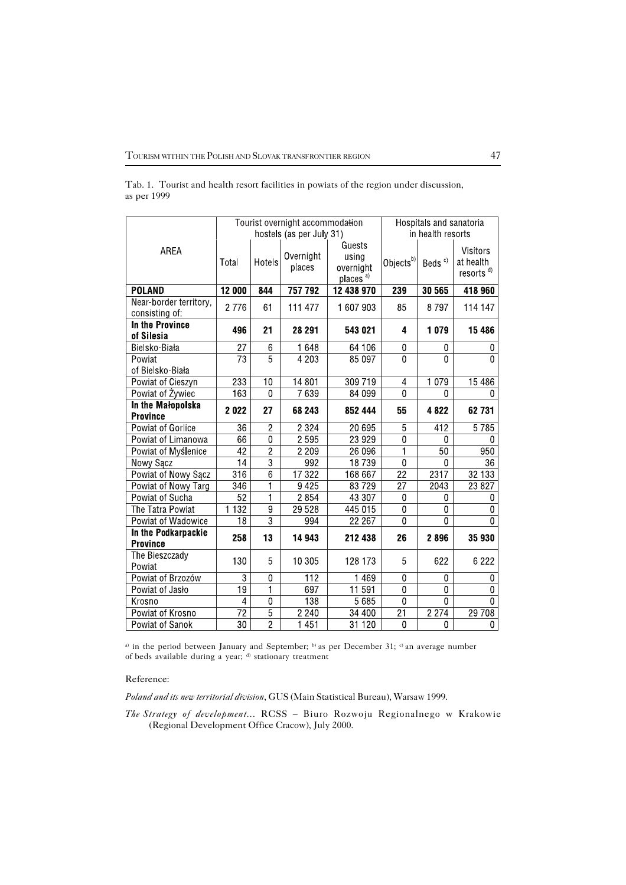|             | Tab. 1. Tourist and health resort facilities in powiats of the region under discussion, |  |  |  |
|-------------|-----------------------------------------------------------------------------------------|--|--|--|
| as per 1999 |                                                                                         |  |  |  |

|                                          |                          |                         | Tourist overnight accommodation | Hospitals and sanatoria                             |                       |                    |                                                |
|------------------------------------------|--------------------------|-------------------------|---------------------------------|-----------------------------------------------------|-----------------------|--------------------|------------------------------------------------|
|                                          | hostels (as per July 31) |                         |                                 |                                                     | in health resorts     |                    |                                                |
| AREA                                     | Total                    | Hotels                  | Overnight<br>places             | Guests<br>using<br>overnight<br>places <sup>a</sup> | Objects <sup>b)</sup> | Beds <sup>c)</sup> | Visitors<br>at health<br>resorts <sup>d)</sup> |
| <b>POLAND</b>                            | 12 000                   | 844                     | 757 792                         | 12 438 970                                          | 239                   | 30 565             | 418 960                                        |
| Near-border territory,<br>consisting of: | 2776                     | 61                      | 111 477                         | 1 607 903                                           | 85                    | 8797               | 114 147                                        |
| <b>In the Province</b><br>of Silesia     | 496                      | 21                      | 28 291                          | 543 021                                             | 4                     | 1079               | 15 4 86                                        |
| Bielsko-Biała                            | $\overline{27}$          | 6                       | 1648                            | 64 106                                              | $\bf{0}$              | 0                  | 0                                              |
| Powiat                                   | $\overline{73}$          | $\overline{5}$          | 4 2 0 3                         | 85 097                                              | $\overline{0}$        | $\mathbf 0$        | $\Omega$                                       |
| of Bielsko Biała                         |                          |                         |                                 |                                                     |                       |                    |                                                |
| Powiat of Cieszyn                        | 233                      | $\overline{10}$         | 14 801                          | 309 719                                             | $\overline{4}$        | 1079               | 15 4 86                                        |
| Powiat of Żywiec                         | 163                      | 0                       | 7639                            | 84 099                                              | $\overline{0}$        | 0                  | 0                                              |
| In the Małopolska<br><b>Province</b>     | 2022                     | 27                      | 68 243                          | 852 444                                             | 55                    | 4822               | 62 731                                         |
| <b>Powiat of Gorlice</b>                 | 36                       | $\overline{2}$          | 2 3 2 4                         | 20 695                                              | $\overline{5}$        | 412                | 5785                                           |
| Powiat of Limanowa                       | 66                       | $\overline{0}$          | 2 5 9 5                         | 23 9 29                                             | $\overline{0}$        | $\Omega$           | U                                              |
| Powiat of Myślenice                      | 42                       | $\overline{2}$          | 2 2 0 9                         | 26 096                                              | 1                     | 50                 | 950                                            |
| Nowy Sącz                                | $\overline{14}$          | $\overline{3}$          | 992                             | 18739                                               | $\overline{0}$        | 0                  | $\overline{36}$                                |
| Powiat of Nowy Sącz                      | $\overline{316}$         | $\overline{6}$          | 17322                           | 168 667                                             | $\overline{22}$       | 2317               | 32 133                                         |
| Powiat of Nowy Targ                      | 346                      | 1                       | 9425                            | 83729                                               | $\overline{27}$       | 2043               | 23 8 27                                        |
| Powiat of Sucha                          | $\overline{52}$          | 1                       | 2 8 5 4                         | 43 307                                              | 0                     | 0                  | 0                                              |
| The Tatra Powiat                         | 1132                     | $\overline{9}$          | 29 5 28                         | 445 015                                             | $\overline{0}$        | 0                  | 0                                              |
| Powiat of Wadowice                       | $\overline{18}$          | $\overline{3}$          | 994                             | 22 267                                              | $\mathbf 0$           | 0                  | $\Omega$                                       |
| In the Podkarpackie<br><b>Province</b>   | 258                      | 13                      | 14 943                          | 212 438                                             | 26                    | 2896               | 35 930                                         |
| The Bieszczady<br>Powiat                 | 130                      | 5                       | 10 305                          | 128 173                                             | 5                     | 622                | 6 2 2 2                                        |
| Powiat of Brzozów                        | 3                        | 0                       | 112                             | 1469                                                | $\pmb{0}$             | 0                  | 0                                              |
| Powiat of Jasło                          | $\overline{19}$          | $\overline{\mathbf{1}}$ | 697                             | 11 591                                              | $\overline{0}$        | $\overline{0}$     | $\overline{0}$                                 |
| Krosno                                   | 4                        | $\overline{0}$          | 138                             | 5 6 8 5                                             | $\overline{0}$        | 0                  | $\Omega$                                       |
| Powiat of Krosno                         | $\overline{72}$          | $\overline{5}$          | $\sqrt{2240}$                   | 34 400                                              | $\overline{21}$       | 2274               | 29 708                                         |
| Powiat of Sanok                          | $\overline{30}$          | $\overline{2}$          | 1 4 5 1                         | 31120                                               | $\overline{0}$        | 0                  | 0                                              |

<sup>a)</sup> in the period between January and September; <sup>b)</sup> as per December 31;  $\degree$  an average number of beds available during a year; d) stationary treatment

Reference:

*Poland and its new territorial division*, GUS (Main Statistical Bureau), Warsaw 1999.

*The Strategy of development...* RCSS – Biuro Rozwoju Regionalnego w Krakowie (Regional Development Office Cracow), July 2000.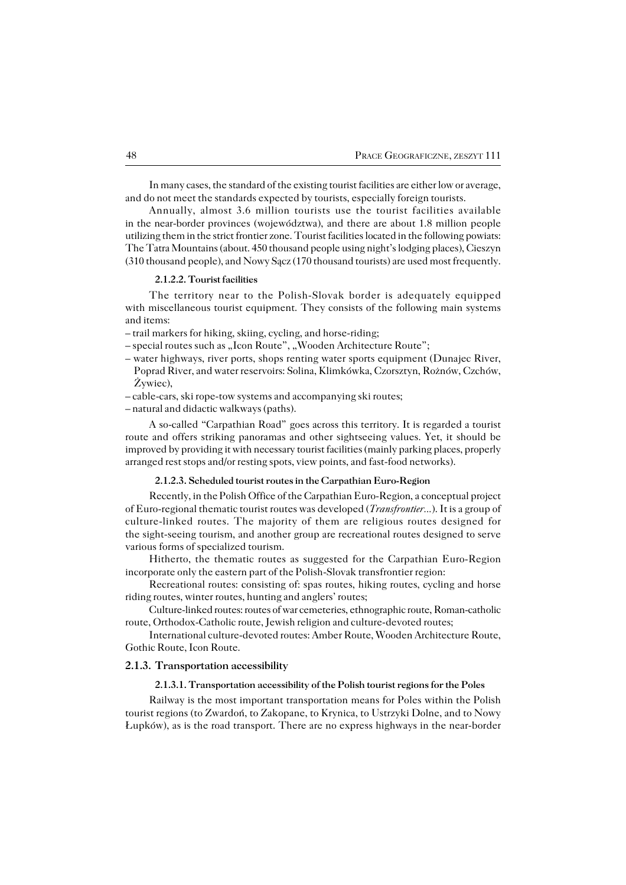In many cases, the standard of the existing tourist facilities are either low or average, and do not meet the standards expected by tourists, especially foreign tourists.

Annually, almost 3.6 million tourists use the tourist facilities available in the near−border provinces (województwa), and there are about 1.8 million people utilizing them in the strict frontier zone. Tourist facilities located in the following powiats: The Tatra Mountains (about. 450 thousand people using night's lodging places), Cieszyn (310 thousand people), and Nowy Sącz (170 thousand tourists) are used most frequently.

#### **2.1.2.2. Tourist facilities**

The territory near to the Polish−Slovak border is adequately equipped with miscellaneous tourist equipment. They consists of the following main systems and items:

– trail markers for hiking, skiing, cycling, and horse−riding;

– special routes such as "Icon Route", "Wooden Architecture Route";

- water highways, river ports, shops renting water sports equipment (Dunajec River, Poprad River, and water reservoirs: Solina, Klimkówka, Czorsztyn, Rożnów, Czchów, Żywiec),
- cable−cars, ski rope−tow systems and accompanying ski routes;
- natural and didactic walkways (paths).

A so−called "Carpathian Road" goes across this territory. It is regarded a tourist route and offers striking panoramas and other sightseeing values. Yet, it should be improved by providing it with necessary tourist facilities (mainly parking places, properly arranged rest stops and/or resting spots, view points, and fast−food networks).

## **2.1.2.3. Scheduled tourist routes in the Carpathian Euro−Region**

Recently, in the Polish Office of the Carpathian Euro−Region, a conceptual project of Euro−regional thematic tourist routes was developed (*Transfrontier...*). It is a group of culture−linked routes. The majority of them are religious routes designed for the sight−seeing tourism, and another group are recreational routes designed to serve various forms of specialized tourism.

Hitherto, the thematic routes as suggested for the Carpathian Euro−Region incorporate only the eastern part of the Polish−Slovak transfrontier region:

Recreational routes: consisting of: spas routes, hiking routes, cycling and horse riding routes, winter routes, hunting and anglers' routes;

Culture−linked routes: routes of war cemeteries, ethnographic route, Roman−catholic route, Orthodox−Catholic route, Jewish religion and culture−devoted routes;

International culture−devoted routes: Amber Route, Wooden Architecture Route, Gothic Route, Icon Route.

### **2.1.3. Transportation accessibility**

### **2.1.3.1. Transportation accessibility of the Polish tourist regions for the Poles**

Railway is the most important transportation means for Poles within the Polish tourist regions (to Zwardoń, to Zakopane, to Krynica, to Ustrzyki Dolne, and to Nowy Łupków), as is the road transport. There are no express highways in the near−border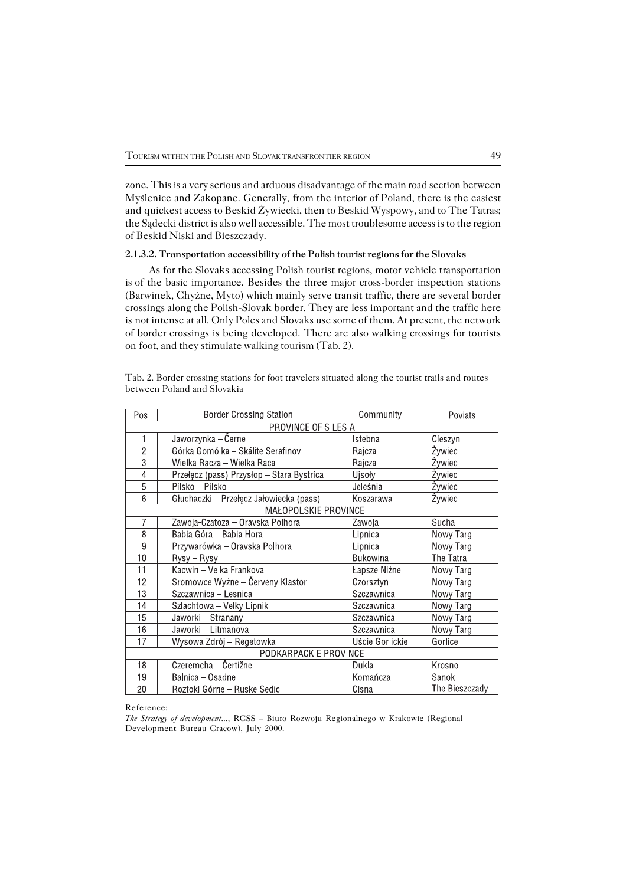zone. This is a very serious and arduous disadvantage of the main road section between Myślenice and Zakopane. Generally, from the interior of Poland, there is the easiest and quickest access to Beskid Żywiecki, then to Beskid Wyspowy, and to The Tatras; the Sądecki district is also well accessible. The most troublesome access is to the region of Beskid Niski and Bieszczady.

### **2.1.3.2. Transportation accessibility of the Polish tourist regions for the Slovaks**

As for the Slovaks accessing Polish tourist regions, motor vehicle transportation isof the basic importance. Besides the three major cross−border inspection stations (Barwinek, Chyżne, Myto) which mainly serve transit traffic, there are several border crossings along the Polish−Slovak border. They are less important and the traffic here isnot intense at all. Only Poles and Slovaks use some of them. At present, the network of border crossings is being developed. There are also walking crossings for tourists on foot, and they stimulate walking tourism (Tab. 2).

| Pos.                  | <b>Border Crossing Station</b>            | Community<br>Poviats |                |  |  |  |
|-----------------------|-------------------------------------------|----------------------|----------------|--|--|--|
| PROVINCE OF SILESIA   |                                           |                      |                |  |  |  |
| 1                     | Jaworzynka – Černe                        | Istebna              | Cieszyn        |  |  |  |
| $\overline{2}$        | Górka Gomólka - Skálite Serafinov         | Rajcza               | Zywiec         |  |  |  |
| $\overline{3}$        | Wielka Racza – Wielka Raca                | Rajcza               | Żywiec         |  |  |  |
| $\overline{4}$        | Przełęcz (pass) Przysłop - Stara Bystrica | Ujsoły               | Żywiec         |  |  |  |
| $\overline{5}$        | Pilsko – Pilsko                           | Jeleśnia             | Żywiec         |  |  |  |
| 6                     | Głuchaczki – Przełęcz Jałowiecka (pass)   | Koszarawa            | Żywiec         |  |  |  |
| MAŁOPOLSKIE PROVINCE  |                                           |                      |                |  |  |  |
| 7                     | Zawoja-Czatoza - Oravska Polhora          | Zawoja               | Sucha          |  |  |  |
| 8                     | Babia Góra - Babia Hora                   | Lipnica              | Nowy Targ      |  |  |  |
| 9                     | Przywarówka – Oravska Polhora             | Lipnica              | Nowy Targ      |  |  |  |
| 10                    | Rysy - Rysy                               | <b>Bukowina</b>      | The Tatra      |  |  |  |
| 11                    | Kacwin - Velka Frankova                   | Łapsze Niżne         | Nowy Targ      |  |  |  |
| 12                    | Sromowce Wyżne - Červeny Klastor          | Czorsztyn            | Nowy Targ      |  |  |  |
| 13                    | Szczawnica - Lesnica                      | Szczawnica           | Nowy Targ      |  |  |  |
| 14                    | Szlachtowa – Velky Lipnik                 | Szczawnica           | Nowy Targ      |  |  |  |
| 15                    | Jaworki - Stranany                        | Szczawnica           | Nowy Targ      |  |  |  |
| 16                    | Jaworki - Litmanova                       | Szczawnica           | Nowy Targ      |  |  |  |
| 17                    | Wysowa Zdrój – Regetowka                  | Uście Gorlickie      | Gorlice        |  |  |  |
| PODKARPACKIE PROVINCE |                                           |                      |                |  |  |  |
| 18                    | Czeremcha – Čertižne                      | Dukla                | Krosno         |  |  |  |
| 19                    | Balnica - Osadne                          | Komańcza             | Sanok          |  |  |  |
| 20                    | Roztoki Górne - Ruske Sedic               | Cisna                | The Bieszczady |  |  |  |

Tab. 2. Border crossing stations for foot travelers situated along the tourist trails and routes between Poland and Slovakia

#### Reference:

*The Strategy of development...,* RCSS – Biuro Rozwoju Regionalnego w Krakowie (Regional Development Bureau Cracow), July 2000.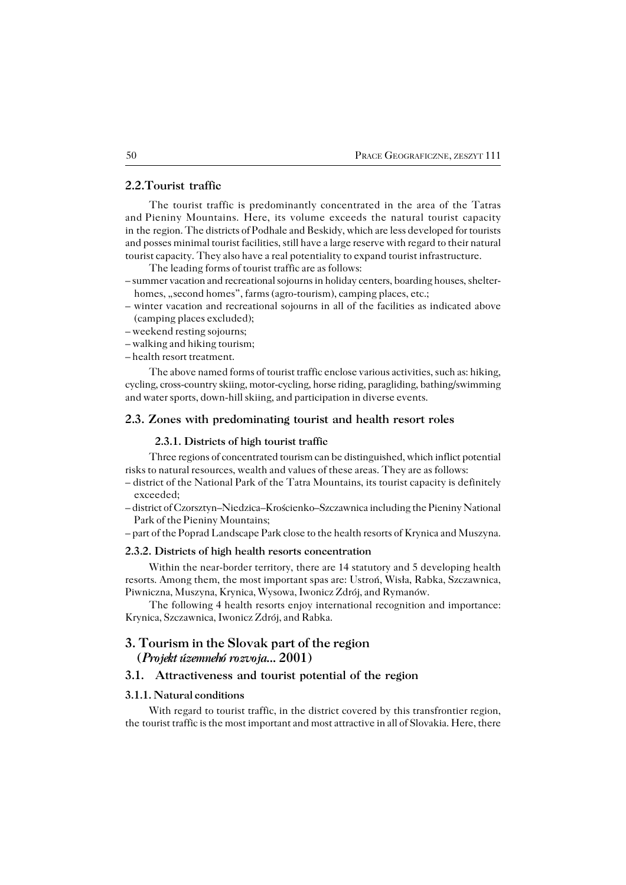## **2.2.Tourist traffic**

The tourist traffic is predominantly concentrated in the area of the Tatras and Pieniny Mountains. Here, its volume exceeds the natural tourist capacity in the region. The districts of Podhale and Beskidy, which are less developed for tourists and posses minimal tourist facilities, still have a large reserve with regard to their natural tourist capacity. They also have a real potentiality to expand tourist infrastructure.

The leading forms of tourist traffic are as follows:

– summer vacation and recreational sojourns in holiday centers, boarding houses, shelter− homes, "second homes", farms (agro-tourism), camping places, etc.;

- winter vacation and recreational sojourns in all of the facilities as indicated above (camping places excluded);
- weekend resting sojourns;
- walking and hiking tourism;
- health resort treatment.

The above named forms of tourist traffic enclose various activities, such as: hiking, cycling, cross−country skiing, motor−cycling, horse riding, paragliding, bathing/swimming and water sports, down−hill skiing, and participation in diverse events.

## **2.3. Zones with predominating tourist and health resort roles**

#### **2.3.1. Districts of high tourist traffic**

Three regions of concentrated tourism can be distinguished, which inflict potential risks to natural resources, wealth and values of these areas. They are as follows:

- district of the National Park of the Tatra Mountains, its tourist capacity is definitely exceeded;
- district of Czorsztyn–Niedzica–Krościenko–Szczawnica including the Pieniny National Park of the Pieniny Mountains;

– part of the Poprad Landscape Park close to the health resorts of Krynica and Muszyna.

### **2.3.2. Districts of high health resorts concentration**

Within the near−border territory, there are 14 statutory and 5 developing health resorts. Among them, the most important spas are: Ustroń, Wisła, Rabka, Szczawnica, Piwniczna, Muszyna, Krynica, Wysowa, Iwonicz Zdrój, and Rymanów.

The following 4 health resorts enjoy international recognition and importance: Krynica, Szczawnica, Iwonicz Zdrój, and Rabka.

# **3. Tourism in the Slovak part of the region (***Projekt územnehó rozvoja...* **2001)**

## **3.1. Attractiveness and tourist potential of the region**

## **3.1.1. Natural conditions**

With regard to tourist traffic, in the district covered by this transfrontier region, the tourist traffic is the most important and most attractive in all of Slovakia. Here, there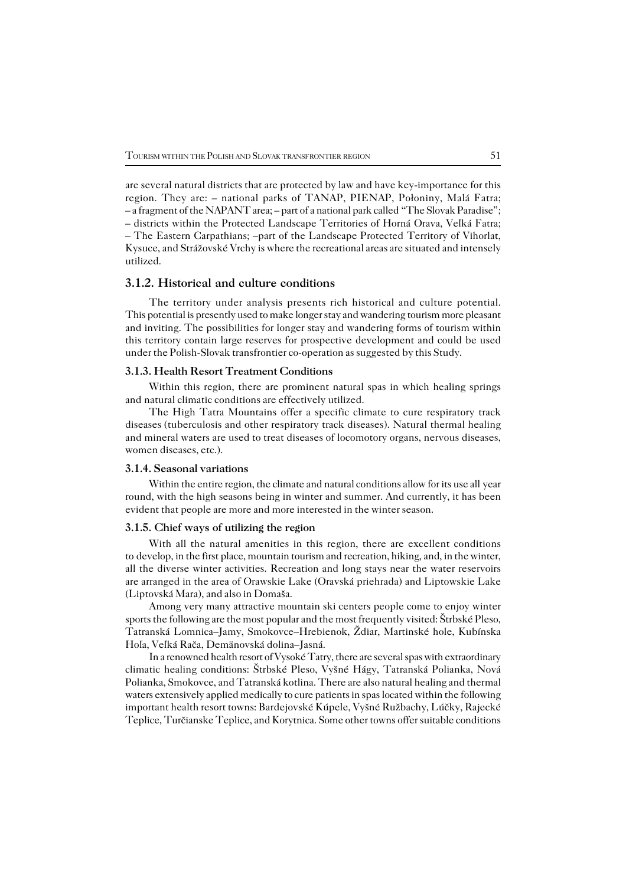are several natural districts that are protected by law and have key−importance for this region. They are: – national parks of TANAP, PIENAP, Połoniny, Malá Fatra; – a fragment of the NAPANT area; – part of a national park called "The Slovak Paradise"; – districts within the Protected Landscape Territories of Horná Orava, Veľká Fatra; – The Eastern Carpathians; –part of the Landscape Protected Territory of Vihorlat, Kysuce, and Strážovské Vrchy is where the recreational areas are situated and intensely utilized.

## **3.1.2. Historical and culture conditions**

The territory under analysis presents rich historical and culture potential. This potential is presently used to make longer stay and wandering tourism more pleasant and inviting. The possibilities for longer stay and wandering forms of tourism within this territory contain large reserves for prospective development and could be used under the Polish−Slovak transfrontier co−operation as suggested by this Study.

### **3.1.3. Health Resort Treatment Conditions**

Within this region, there are prominent natural spas in which healing springs and natural climatic conditions are effectively utilized.

The High Tatra Mountains offer a specific climate to cure respiratory track diseases(tuberculosis and other respiratory track diseases). Natural thermal healing and mineral waters are used to treat diseases of locomotory organs, nervous diseases, women diseases, etc.).

## **3.1.4. Seasonal variations**

Within the entire region, the climate and natural conditions allow for its use all year round, with the high seasons being in winter and summer. And currently, it has been evident that people are more and more interested in the winter season.

### **3.1.5. Chief ways of utilizing the region**

With all the natural amenities in this region, there are excellent conditions todevelop, in the first place, mountain tourism and recreation, hiking, and, in the winter, all the diverse winter activities. Recreation and long stays near the water reservoirs are arranged in the area of Orawskie Lake (Oravská priehrada) and Liptowskie Lake (Liptovská Mara), and also in Domaša.

Among very many attractive mountain ski centers people come to enjoy winter sports the following are the most popular and the most frequently visited: Štrbské Pleso, Tatranská Lomnica–Jamy, Smokovce–Hrebienok, Ždiar, Martinské hole, Kubínska Hoľa, Veľká Rača, Demänovská dolina–Jasná.

In a renowned health resort of Vysoké Tatry, there are several spas with extraordinary climatic healing conditions: Štrbské Pleso, Vyšné Hágy, Tatranská Polianka, Nová Polianka, Smokovce, and Tatranská kotlina. There are also natural healing and thermal waters extensively applied medically to cure patients in spas located within the following important health resort towns: Bardejovské Kúpele, Vyšné Ružbachy, Lúčky, Rajecké Teplice, Turčianske Teplice, and Korytnica. Some other towns offer suitable conditions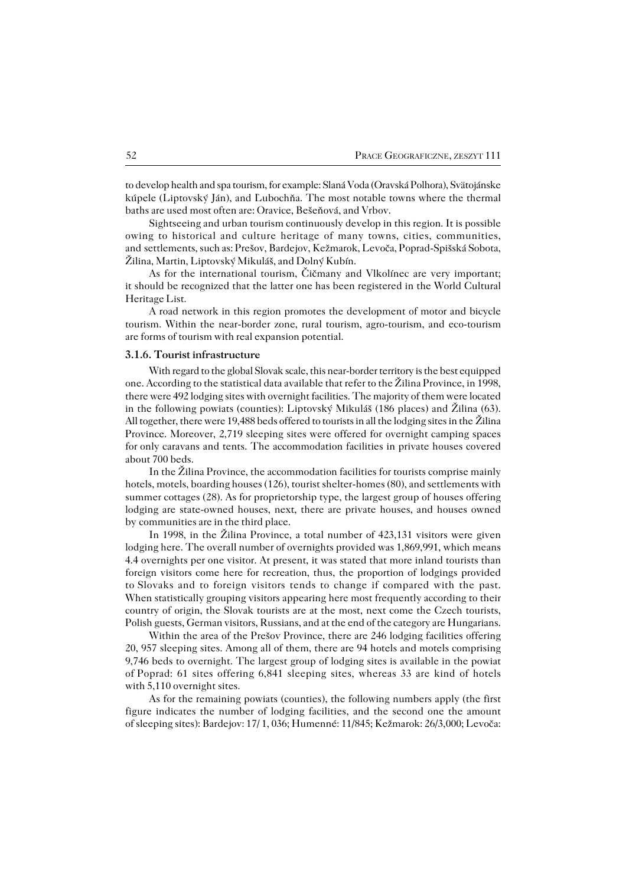to develop health and spa tourism, for example: Slaná Voda (Oravská Polhora), Svätojánske kúpele (Liptovský Ján), and Ľubochňa. The most notable towns where the thermal baths are used most often are: Oravice, Bešeňová, and Vrbov.

Sightseeing and urban tourism continuously develop in this region. It is possible owing to historical and culture heritage of many towns, cities, communities, andsettlements, such as: Prešov, Bardejov, Kežmarok, Levoča, Poprad−Spišská Sobota, Žilina, Martin, Liptovský Mikuláš, and Dolný Kubín.

As for the international tourism, Čičmany and Vlkolínec are very important; it should be recognized that the latter one has been registered in the World Cultural Heritage List.

A road network in this region promotes the development of motor and bicycle tourism. Within the near−border zone, rural tourism, agro−tourism, and eco−tourism are forms of tourism with real expansion potential.

### **3.1.6. Tourist infrastructure**

With regard to the global Slovak scale, this near−border territory is the best equipped one. According to the statistical data available that refer to the Žilina Province, in 1998, there were 492 lodging sites with overnight facilities. The majority of them were located in the following powiats (counties): Liptovský Mikuláš (186 places) and Žilina (63). All together, there were 19,488 beds offered to tourists in all the lodging sites in theŽilina Province. Moreover, 2,719 sleeping sites were offered for overnight camping spaces for only caravans and tents. The accommodation facilities in private houses covered about 700 beds.

In the Žilina Province, the accommodation facilities for tourists comprise mainly hotels, motels, boarding houses (126), tourist shelter−homes (80), and settlements with summer cottages (28). As for proprietorship type, the largest group of houses offering lodging are state−owned houses, next, there are private houses, and houses owned bycommunities are in the third place.

In 1998, in the Žilina Province, a total number of 423,131 visitors were given lodging here. The overall number of overnights provided was 1,869,991, which means 4.4 overnights per one visitor. At present, it was stated that more inland tourists than foreign visitors come here for recreation, thus, the proportion of lodgings provided to Slovaks and to foreign visitors tends to change if compared with the past. When statistically grouping visitors appearing here most frequently according to their country of origin, the Slovak tourists are at the most, next come the Czech tourists, Polish guests, German visitors, Russians, and at the end of the category are Hungarians.

Within the area of the Prešov Province, there are 246 lodging facilities offering 20, 957 sleeping sites. Among all of them, there are 94 hotels and motels comprising 9,746 beds to overnight. The largest group of lodging sites is available in the powiat ofPoprad: 61 sites offering 6,841 sleeping sites, whereas 33 are kind of hotels with 5,110 overnight sites.

As for the remaining powiats (counties), the following numbers apply (the first figure indicates the number of lodging facilities, and the second one the amount of sleeping sites): Bardejov: 17/ 1, 036; Humenné: 11/845; Kežmarok: 26/3,000; Levoča: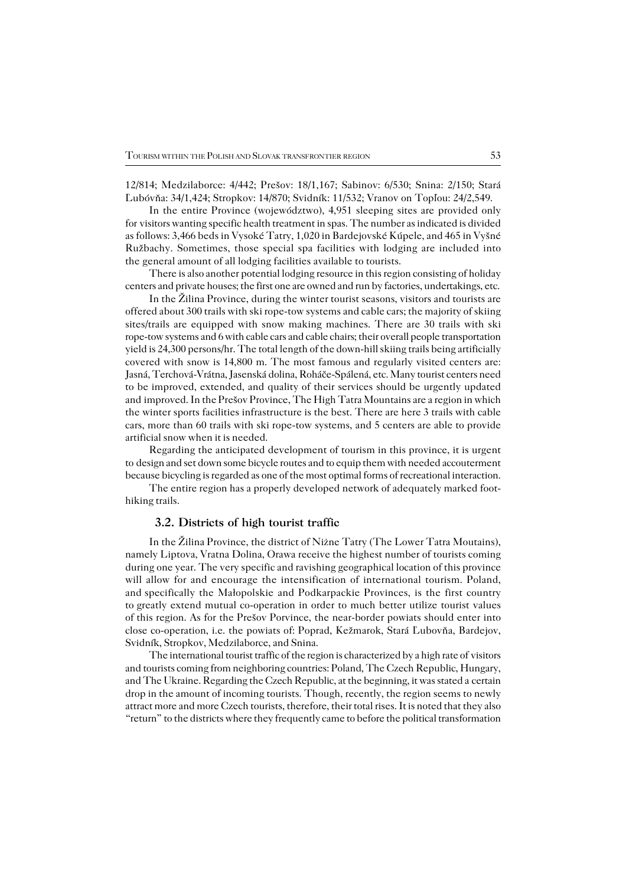12/814; Medzilaborce: 4/442; Prešov: 18/1,167; Sabinov: 6/530; Snina: 2/150; Stará Ľubóvňa: 34/1,424; Stropkov: 14/870; Svidník: 11/532; Vranov on Topľou: 24/2,549.

In the entire Province (województwo), 4,951 sleeping sites are provided only for visitors wanting specific health treatment in spas. The number as indicated is divided as follows: 3,466 beds in Vysoké Tatry, 1,020 in Bardejovské Kúpele, and 465 in Vyšné Ružbachy. Sometimes, those special spa facilities with lodging are included into the general amount of all lodging facilities available to tourists.

There is also another potential lodging resource in this region consisting of holiday centers and private houses; the first one are owned and run by factories, undertakings, etc.

In the Žilina Province, during the winter tourist seasons, visitors and tourists are offered about 300 trails with ski rope−tow systems and cable cars; the majority of skiing sites/trails are equipped with snow making machines. There are 30 trails with ski rope−tow systems and 6 with cable cars and cable chairs; their overall people transportation yield is 24,300 persons/hr. The total length of the down−hill skiing trails being artificially covered with snow is 14,800 m. The most famous and regularly visited centers are: Jasná, Terchová−Vrátna, Jasenská dolina, Roháče−Spálená, etc. Many tourist centers need to be improved, extended, and quality of their services should be urgently updated andimproved. In the Prešov Province, The High Tatra Mountains are a region in which the winter sports facilities infrastructure is the best. There are here 3 trails with cable cars, more than 60 trails with ski rope−tow systems, and 5 centers are able to provide artificial snow when it is needed.

Regarding the anticipated development of tourism in this province, it is urgent to design and set down some bicycle routes and to equip them with needed accouterment because bicycling is regarded as one of the most optimal forms of recreational interaction.

The entire region has a properly developed network of adequately marked foot− hiking trails.

## **3.2. Districts of high tourist traffic**

In the Žilina Province, the district of Niżne Tatry (The Lower Tatra Moutains), namely Liptova, Vratna Dolina, Orawa receive the highest number of tourists coming during one year. The very specific and ravishing geographical location of this province will allow for and encourage the intensification of international tourism. Poland, and specifically the Małopolskie and Podkarpackie Provinces, is the first country togreatly extend mutual co−operation in order to much better utilize tourist values ofthis region. As for the Prešov Porvince, the near−border powiats should enter into close co−operation, i.e. the powiats of: Poprad, Kežmarok, Stará Ľubovňa, Bardejov, Svidník, Stropkov, Medzilaborce, and Snina.

The international tourist traffic of the region is characterized by a high rate of visitors and tourists coming from neighboring countries: Poland, The Czech Republic, Hungary, and The Ukraine. Regarding the Czech Republic, at the beginning, it was stated a certain drop in the amount of incoming tourists. Though, recently, the region seems to newly attract more and more Czech tourists, therefore, their total rises. It is noted that they also "return" to the districts where they frequently came to before the political transformation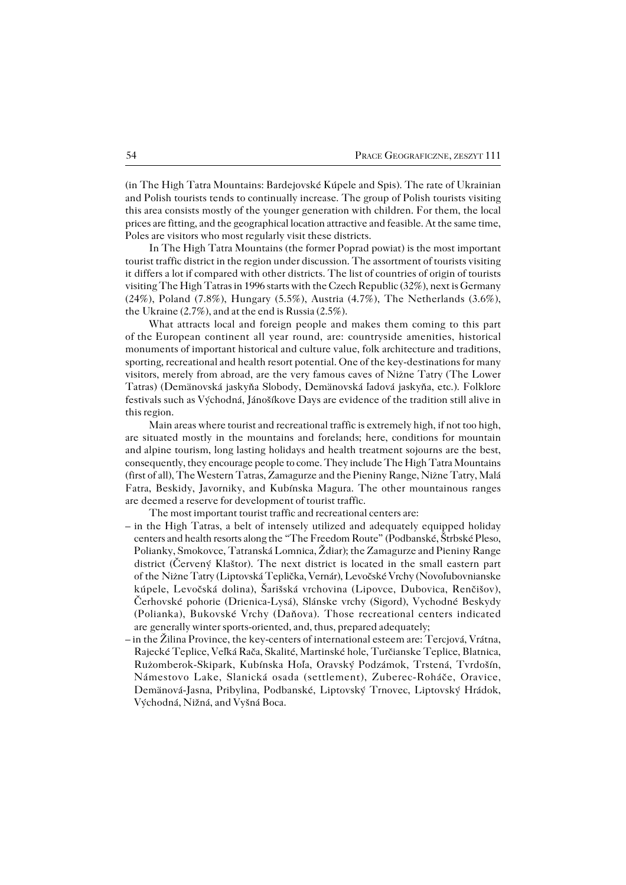(in The High Tatra Mountains: Bardejovské Kúpele and Spis). The rate of Ukrainian and Polish tourists tends to continually increase. The group of Polish tourists visiting this area consists mostly of the younger generation with children. For them, the local prices are fitting, and the geographical location attractive and feasible. At the same time, Poles are visitors who most regularly visit these districts.

In The High Tatra Mountains (the former Poprad powiat) is the most important tourist traffic district in the region under discussion. The assortment of tourists visiting it differs a lot if compared with other districts. The list of countries of origin of tourists visiting The High Tatras in 1996 starts with the Czech Republic (32%), next is Germany (24%), Poland (7.8%), Hungary (5.5%), Austria (4.7%), The Netherlands (3.6%), the Ukraine  $(2.7\%)$ , and at the end is Russia  $(2.5\%)$ .

What attracts local and foreign people and makes them coming to this part oftheEuropean continent all year round, are: countryside amenities, historical monuments of important historical and culture value, folk architecture and traditions, sporting, recreational and health resort potential. One of the key−destinations for many visitors, merely from abroad, are the very famous caves of Niżne Tatry (The Lower Tatras) (Demänovská jaskyňa Slobody, Demänovská ľadová jaskyňa, etc.). Folklore festivals such as Východná, Jánošíkove Days are evidence of the tradition still alive in this region.

Main areas where tourist and recreational traffic is extremely high, if not too high, are situated mostly in the mountains and forelands; here, conditions for mountain andalpine tourism, long lasting holidays and health treatment sojourns are the best, consequently, they encourage people to come. They include The High Tatra Mountains (first of all), The Western Tatras, Zamagurze and the Pieniny Range, Niżne Tatry, Malá Fatra, Beskidy, Javorniky, and Kubínska Magura. The other mountainous ranges are deemed a reserve for development of tourist traffic.

The most important tourist traffic and recreational centers are:

- in the High Tatras, a belt of intensely utilized and adequately equipped holiday centers and health resorts along the "The Freedom Route" (Podbanské, Štrbské Pleso, Polianky, Smokovce, Tatranská Lomnica, Ždiar); the Zamagurze and Pieniny Range district (Červený Klaštor). The next district is located in the small eastern part of the Niżne Tatry (Liptovská Teplička, Vernár), Levočské Vrchy (Novoľubovnianske kúpele, Levočská dolina), Šarišská vrchovina (Lipovce, Dubovica, Renčišov), Čerhovské pohorie (Drienica−Lysá), Slánske vrchy (Sigord), Vychodné Beskydy (Polianka), Bukovské Vrchy (Daňova). Those recreational centers indicated are generally winter sports-oriented, and, thus, prepared adequately;
- in the Žilina Province, the key−centers of international esteem are: Tercjová, Vrátna, Rajecké Teplice, Veľká Rača, Skalité, Martinské hole, Turčianske Teplice, Blatnica, Rużomberok−Skipark, Kubínska Hoľa, Oravský Podzámok, Trstená, Tvrdošín, Námestovo Lake, Slanická osada (settlement), Zuberec−Roháče, Oravice, Demänová−Jasna, Pribylina, Podbanské, Liptovský Trnovec, Liptovský Hrádok, Východná, Nižná, and Vyšná Boca.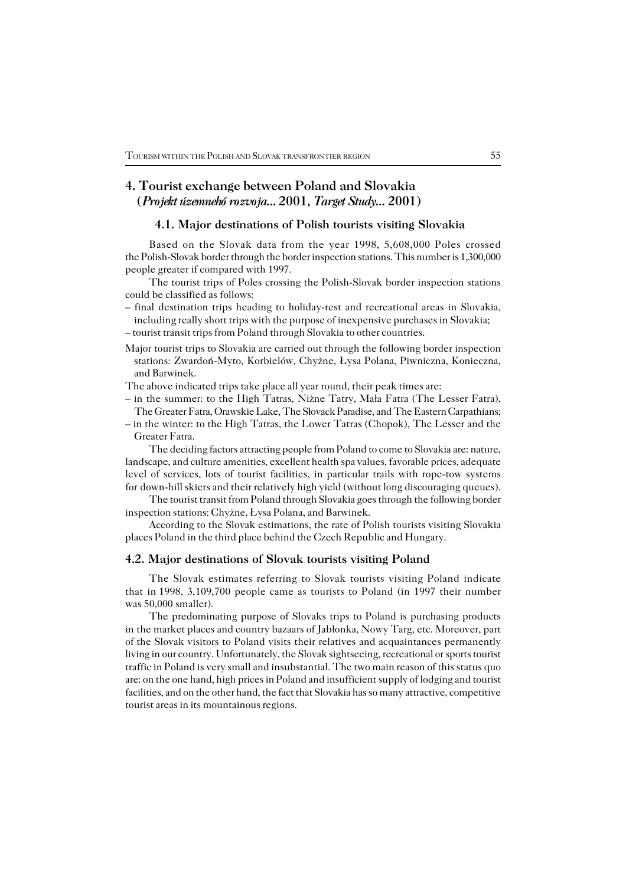# **4. Tourist exchange between Poland and Slovakia (***Projekt územnehó rozvoja...* **2001,** *Target Study...* **2001)**

# **4.1. Major destinations of Polish tourists visiting Slovakia**

Based on the Slovak data from the year 1998, 5,608,000 Poles crossed the Polish−Slovak border through the border inspection stations. This number is 1,300,000 people greater if compared with 1997.

The tourist trips of Poles crossing the Polish−Slovak border inspection stations could be classified as follows:

- final destination trips heading to holiday−rest and recreational areas in Slovakia, including really short trips with the purpose of inexpensive purchases in Slovakia; – tourist transit trips from Poland through Slovakia to other countries.
- Major tourist trips to Slovakia are carried out through the following border inspection stations: Zwardoń−Myto, Korbielów, Chyżne, Łysa Polana, Piwniczna, Konieczna, and Barwinek.
- The above indicated trips take place all year round, their peak times are:
- in the summer: to the High Tatras, Niżne Tatry, Mała Fatra (The Lesser Fatra), The Greater Fatra, Orawskie Lake, The Słovack Paradise, and The Eastern Carpathians;
- in the winter: to the High Tatras, the Lower Tatras (Chopok), The Lesser and the Greater Fatra.

The deciding factors attracting people from Poland to come to Slovakia are: nature, landscape, and culture amenities, excellent health spa values, favorable prices, adequate level of services, lots of tourist facilities, in particular trails with rope−tow systems for down-hill skiers and their relatively high yield (without long discouraging queues).

The tourist transit from Poland through Slovakia goes through the following border inspection stations: Chyżne, Łysa Polana, and Barwinek.

According to the Slovak estimations, the rate of Polish tourists visiting Slovakia places Poland in the third place behind the Czech Republic and Hungary.

## **4.2. Major destinations of Slovak tourists visiting Poland**

The Slovak estimates referring to Slovak tourists visiting Poland indicate that in1998, 3,109,700 people came as tourists to Poland (in 1997 their number was 50,000 smaller).

The predominating purpose of Slovaks trips to Poland is purchasing products in the market places and country bazaars of Jabłonka, Nowy Targ, etc. Moreover, part ofthe Slovak visitors to Poland visits their relatives and acquaintances permanently living in our country. Unfortunately, the Slovak sightseeing, recreational or sports tourist traffic in Poland is very small and insubstantial. The two main reason of this status quo are: on the one hand, high prices in Poland and insufficient supply of lodging and tourist facilities, and on the other hand, the fact that Slovakia has so many attractive, competitive tourist areas in its mountainous regions.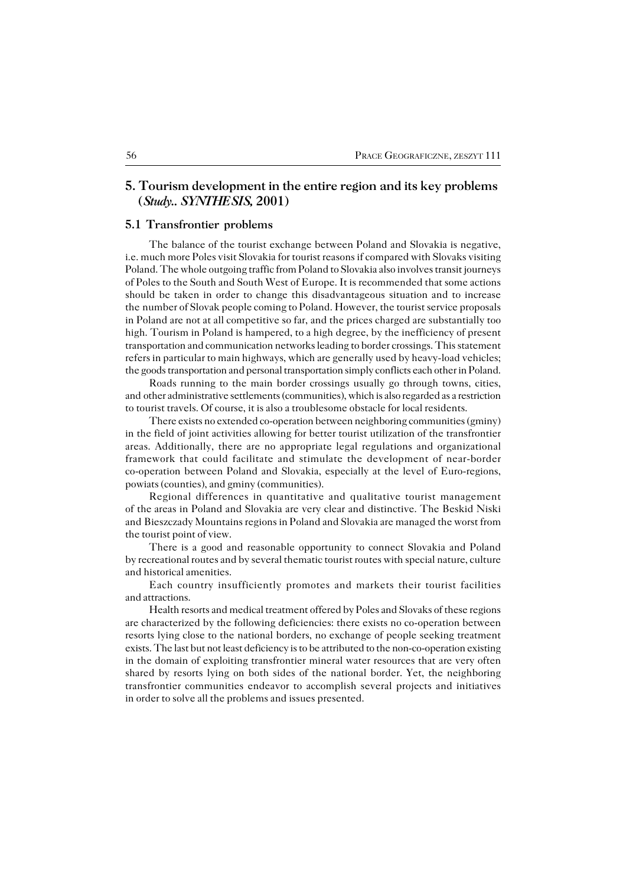# **5. Tourism development in the entire region and its key problems (***Study.. SYNTHESIS,* **2001)**

# **5.1 Transfrontier problems**

The balance of the tourist exchange between Poland and Slovakia is negative, i.e. much more Poles visit Slovakia for tourist reasons if compared with Slovaks visiting Poland. The whole outgoing traffic from Poland to Slovakia also involves transit journeys of Poles to the South and South West of Europe. It is recommended that some actions should be taken in order to change this disadvantageous situation and to increase the number of Slovak people coming to Poland. However, the tourist service proposals in Poland are not at all competitive so far, and the prices charged are substantially too high. Tourism in Poland is hampered, to a high degree, by the inefficiency of present transportation and communication networks leading to border crossings. This statement refers in particular to main highways, which are generally used by heavy−load vehicles; the goods transportation and personal transportation simply conflicts each other in Poland.

Roads running to the main border crossings usually go through towns, cities, and other administrative settlements (communities), which is also regarded as a restriction to tourist travels. Of course, it is also a troublesome obstacle for local residents.

There exists no extended co−operation between neighboring communities (gminy) in the field of joint activities allowing for better tourist utilization of the transfrontier areas. Additionally, there are no appropriate legal regulations and organizational framework that could facilitate and stimulate the development of near−border co−operation between Poland and Slovakia, especially at the level of Euro−regions, powiats (counties), and gminy (communities).

Regional differences in quantitative and qualitative tourist management of the areas in Poland and Slovakia are very clear and distinctive. The Beskid Niski and Bieszczady Mountains regions in Poland and Slovakia are managed the worst from the tourist point of view.

There is a good and reasonable opportunity to connect Slovakia and Poland by recreational routes and by several thematic tourist routes with special nature, culture and historical amenities.

Each country insufficiently promotes and markets their tourist facilities and attractions.

Health resorts and medical treatment offered by Poles and Slovaks of these regions are characterized by the following deficiencies: there exists no co−operation between resorts lying close to the national borders, no exchange of people seeking treatment exists. The last but not least deficiency is to be attributed to the non−co−operation existing in the domain of exploiting transfrontier mineral water resources that are very often shared by resorts lying on both sides of the national border. Yet, the neighboring transfrontier communities endeavor to accomplish several projects and initiatives in order to solve all the problems and issues presented.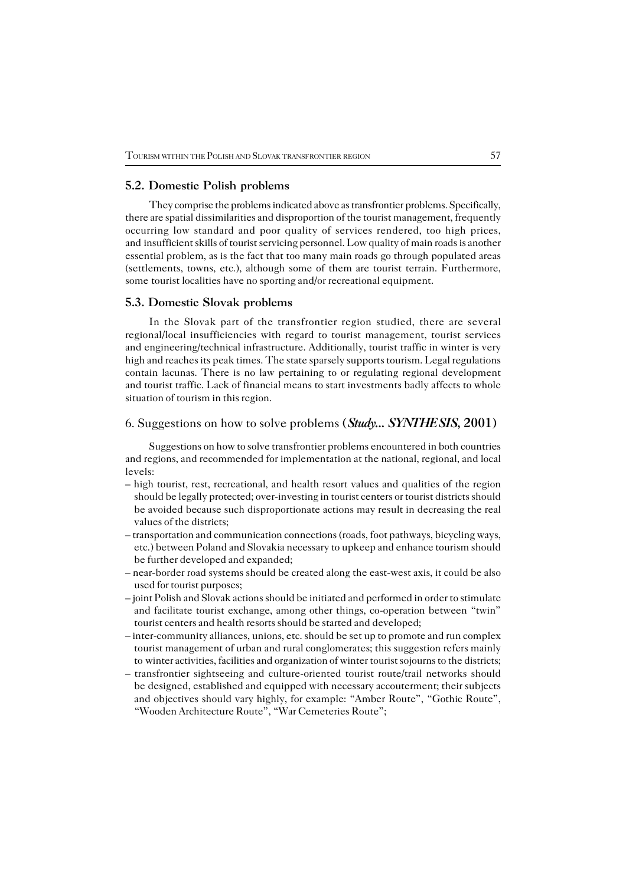## **5.2. Domestic Polish problems**

They comprise the problems indicated above as transfrontier problems. Specifically, there are spatial dissimilarities and disproportion of the tourist management, frequently occurring low standard and poor quality of services rendered, too high prices, and insufficient skills of tourist servicing personnel. Low quality of main roads is another essential problem, as is the fact that too many main roads go through populated areas (settlements, towns, etc.), although some of them are tourist terrain. Furthermore, some tourist localities have no sporting and/or recreational equipment.

### **5.3. Domestic Slovak problems**

In the Slovak part of the transfrontier region studied, there are several regional/local insufficiencies with regard to tourist management, tourist services and engineering/technical infrastructure. Additionally, tourist traffic in winter is very high and reaches its peak times. The state sparsely supports tourism. Legal regulations contain lacunas. There is no law pertaining to or regulating regional development and tourist traffic. Lack of financial means to start investments badly affects to whole situation of tourism in this region.

# 6. Suggestions on how to solve problems **(***Study... SYNTHESIS***, 2001)**

Suggestions on how to solve transfrontier problems encountered in both countries and regions, and recommended for implementation at the national, regional, and local levels:

- high tourist, rest, recreational, and health resort values and qualities of the region should be legally protected; over−investing in tourist centers or tourist districts should be avoided because such disproportionate actions may result in decreasing the real values of the districts;
- transportation and communication connections (roads, foot pathways, bicycling ways, etc.) between Poland and Slovakia necessary to upkeep and enhance tourism should be further developed and expanded;
- near−border road systems should be created along the east−west axis, it could be also used for tourist purposes;
- joint Polish and Slovak actions should be initiated and performed in order to stimulate and facilitate tourist exchange, among other things, co−operation between "twin" tourist centers and health resorts should be started and developed;
- inter−community alliances, unions, etc. should be set up to promote and run complex tourist management of urban and rural conglomerates; this suggestion refers mainly to winter activities, facilities and organization of winter tourist sojourns to the districts;
- transfrontier sightseeing and culture−oriented tourist route/trail networks should be designed, established and equipped with necessary accouterment; their subjects and objectives should vary highly, for example: "Amber Route", "Gothic Route", "Wooden Architecture Route", "War Cemeteries Route";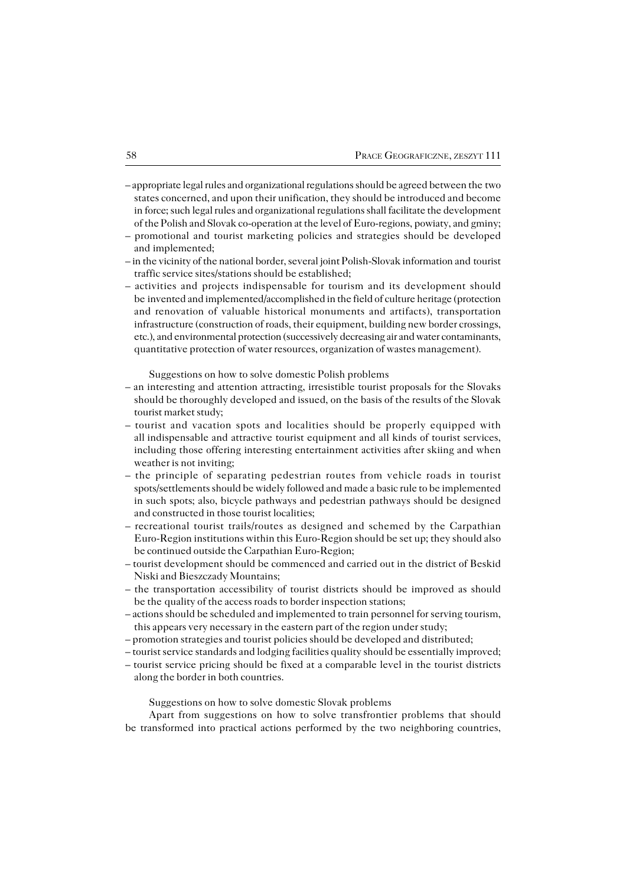- appropriate legal rules and organizational regulations should be agreed between thetwo states concerned, and upon their unification, they should be introduced and become in force; such legal rules and organizational regulations shall facilitate the development of the Polish and Slovak co−operation at the level of Euro−regions, powiaty, and gminy;
- promotional and tourist marketing policies and strategies should be developed and implemented:
- in the vicinity of the national border, several joint Polish−Slovak information andtourist traffic service sites/stations should be established;
- activities and projects indispensable for tourism and its development should be invented and implemented/accomplished in the field of culture heritage (protection and renovation of valuable historical monuments and artifacts), transportation infrastructure (construction of roads, their equipment, building new border crossings, etc.), and environmental protection (successively decreasing air and water contaminants, quantitative protection of water resources, organization of wastes management).

Suggestions on how to solve domestic Polish problems

- an interesting and attention attracting, irresistible tourist proposals for the Slovaks should be thoroughly developed and issued, on the basis of the results of the Slovak tourist market study;
- tourist and vacation spots and localities should be properly equipped with allindispensable and attractive tourist equipment and all kinds of tourist services, including those offering interesting entertainment activities after skiing and when weather is not inviting;
- the principle of separating pedestrian routes from vehicle roads in tourist spots/settlements should be widely followed and made a basic rule to be implemented in such spots; also, bicycle pathways and pedestrian pathways should be designed and constructed in those tourist localities;
- recreational tourist trails/routes as designed and schemed by the Carpathian Euro−Region institutions within this Euro−Region should be set up; they should also be continued outside the Carpathian Euro−Region;
- tourist development should be commenced and carried out in the district of Beskid Niski and Bieszczady Mountains;
- the transportation accessibility of tourist districts should be improved as should be the quality of the access roads to border inspection stations;
- actions should be scheduled and implemented to train personnel for serving tourism, this appears very necessary in the eastern part of the region under study;
- promotion strategies and tourist policies should be developed and distributed;
- tourist service standards and lodging facilities quality should be essentially improved;
- tourist service pricing should be fixed at a comparable level in the tourist districts along the border in both countries.

Suggestions on how to solve domestic Slovak problems

Apart from suggestions on how to solve transfrontier problems that should be transformed into practical actions performed by the two neighboring countries,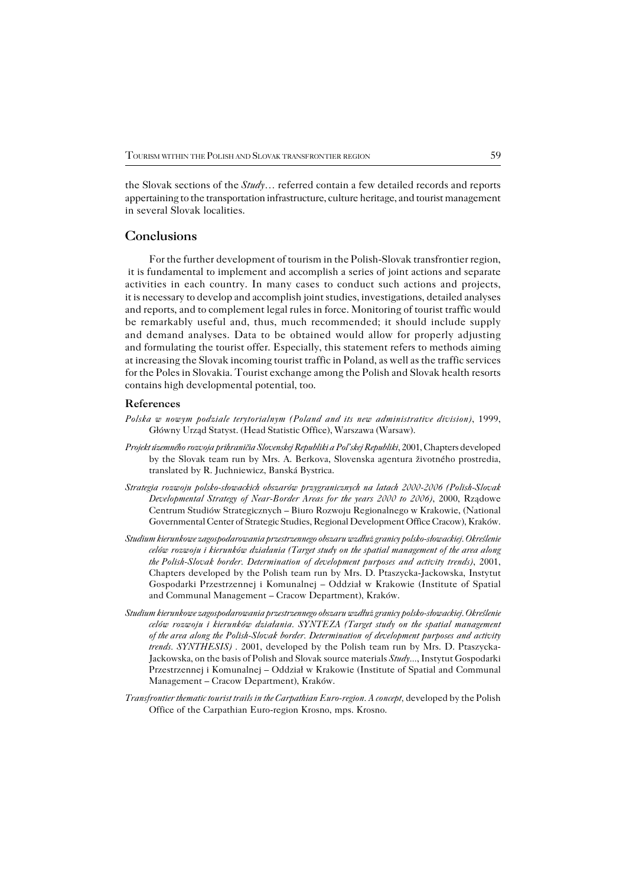the Slovak sections of the *Study*... referred contain a few detailed records and reports appertaining to the transportation infrastructure, culture heritage, and tourist management in several Slovak localities.

# **Conclusions**

For the further development of tourism in the Polish−Slovak transfrontier region, it is fundamental to implement and accomplish a series of joint actions and separate activities in each country. In many cases to conduct such actions and projects, it is necessary to develop and accomplish joint studies, investigations, detailed analyses and reports, and to complement legal rules in force. Monitoring of tourist traffic would be remarkably useful and, thus, much recommended; it should include supply and demand analyses. Data to be obtained would allow for properly adjusting and formulating the tourist offer. Especially, this statement refers to methods aiming at increasing the Slovak incoming tourist traffic in Poland, as well as the traffic services for the Poles in Slovakia. Tourist exchange among the Polish and Slovak health resorts contains high developmental potential, too.

## **References**

- *Polska w nowym podziale terytorialnym (Poland and its new administrative division)*, 1999, Główny Urząd Statyst. (Head Statistic Office), Warszawa (Warsaw).
- *Projekt územného rozvoja prihraničia Slovenskej Republiki a Pol'skej Republiki*, 2001, Chapters developed by the Slovak team run by Mrs. A. Berkova, Slovenska agentura životného prostredia, translated by R. Juchniewicz, Banská Bystrica.
- *Strategia rozwoju polsko−słowackich obszarów przygranicznych na latach 2000−2006 (Polish−Slovak Developmental Strategy of Near−Border Areas for the years 2000 to 2006)*, 2000, Rządowe Centrum Studiów Strategicznych – Biuro Rozwoju Regionalnego w Krakowie, (National Governmental Center of Strategic Studies, Regional Development Office Cracow), Kraków.
- *Studium kierunkowe zagospodarowania przestrzennego obszaru wzdłuż granicy polsko−słowackiej. Określenie celów rozwoju i kierunków działania (Target study on the spatial management of the area along thePolish−Slovak border. Determination of development purposes and activity trends)*, 2001, Chapters developed by the Polish team run by Mrs. D. Ptaszycka−Jackowska, Instytut Gospodarki Przestrzennej i Komunalnej – Oddział w Krakowie (Institute of Spatial andCommunal Management – Cracow Department), Kraków.
- *Studium kierunkowe zagospodarowania przestrzennego obszaru wzdłuż granicy polsko−słowackiej. Określenie celów rozwoju i kierunków działania. SYNTEZA (Target study on the spatial management ofthearea along the Polish−Slovak border. Determination of development purposes and activity trends. SYNTHESIS*). 2001, developed by the Polish team run by Mrs. D. Ptaszycka-Jackowska, on the basis of Polish and Slovak source materials *Study...*, Instytut Gospodarki Przestrzennej i Komunalnej – Oddział w Krakowie (Institute of Spatial and Communal Management – Cracow Department), Kraków.
- *Transfrontier thematic tourist trails in the Carpathian Euro−region. A concept,* developed by the Polish Office of the Carpathian Euro−region Krosno, mps. Krosno.